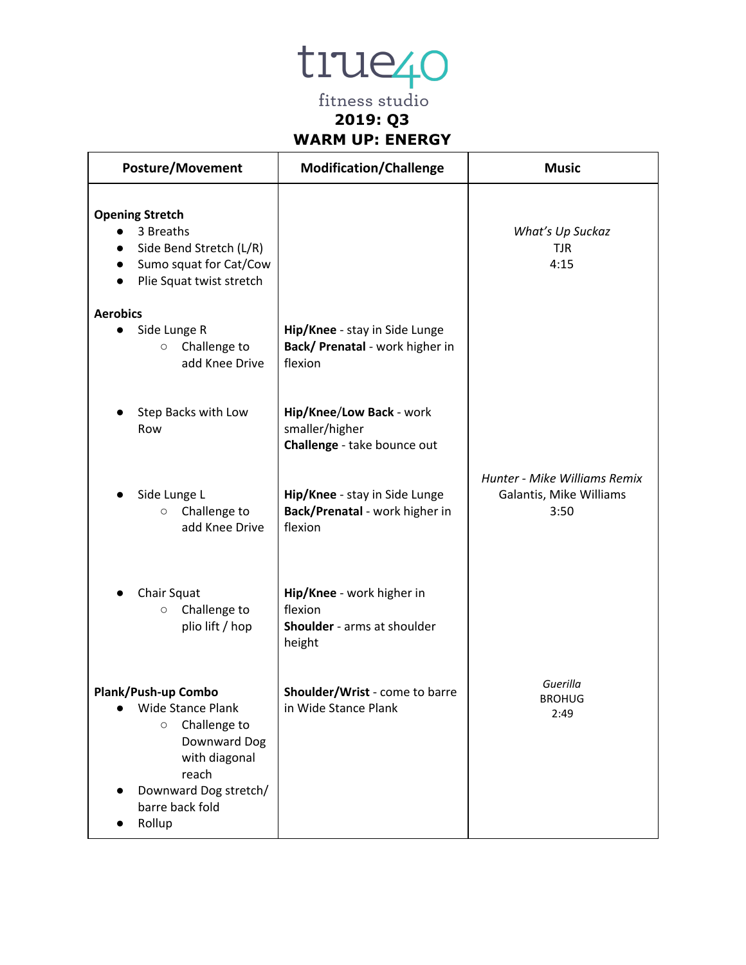tiue<sub>40</sub>

fitness studio **2019: Q3 WARM UP: ENERGY**

| <b>Posture/Movement</b>                                                                                                                                             | <b>Modification/Challenge</b>                                                 | <b>Music</b>                                                    |
|---------------------------------------------------------------------------------------------------------------------------------------------------------------------|-------------------------------------------------------------------------------|-----------------------------------------------------------------|
| <b>Opening Stretch</b><br>3 Breaths<br>Side Bend Stretch (L/R)<br>Sumo squat for Cat/Cow<br>Plie Squat twist stretch                                                |                                                                               | What's Up Suckaz<br><b>TJR</b><br>4:15                          |
| <b>Aerobics</b><br>Side Lunge R<br>Challenge to<br>$\circ$<br>add Knee Drive                                                                                        | Hip/Knee - stay in Side Lunge<br>Back/ Prenatal - work higher in<br>flexion   |                                                                 |
| Step Backs with Low<br>Row                                                                                                                                          | Hip/Knee/Low Back - work<br>smaller/higher<br>Challenge - take bounce out     |                                                                 |
| Side Lunge L<br>Challenge to<br>$\circ$<br>add Knee Drive                                                                                                           | Hip/Knee - stay in Side Lunge<br>Back/Prenatal - work higher in<br>flexion    | Hunter - Mike Williams Remix<br>Galantis, Mike Williams<br>3:50 |
| Chair Squat<br>Challenge to<br>$\circ$<br>plio lift / hop                                                                                                           | Hip/Knee - work higher in<br>flexion<br>Shoulder - arms at shoulder<br>height |                                                                 |
| Plank/Push-up Combo<br>Wide Stance Plank<br>Challenge to<br>$\circ$<br>Downward Dog<br>with diagonal<br>reach<br>Downward Dog stretch/<br>barre back fold<br>Rollup | Shoulder/Wrist - come to barre<br>in Wide Stance Plank                        | Guerilla<br><b>BROHUG</b><br>2:49                               |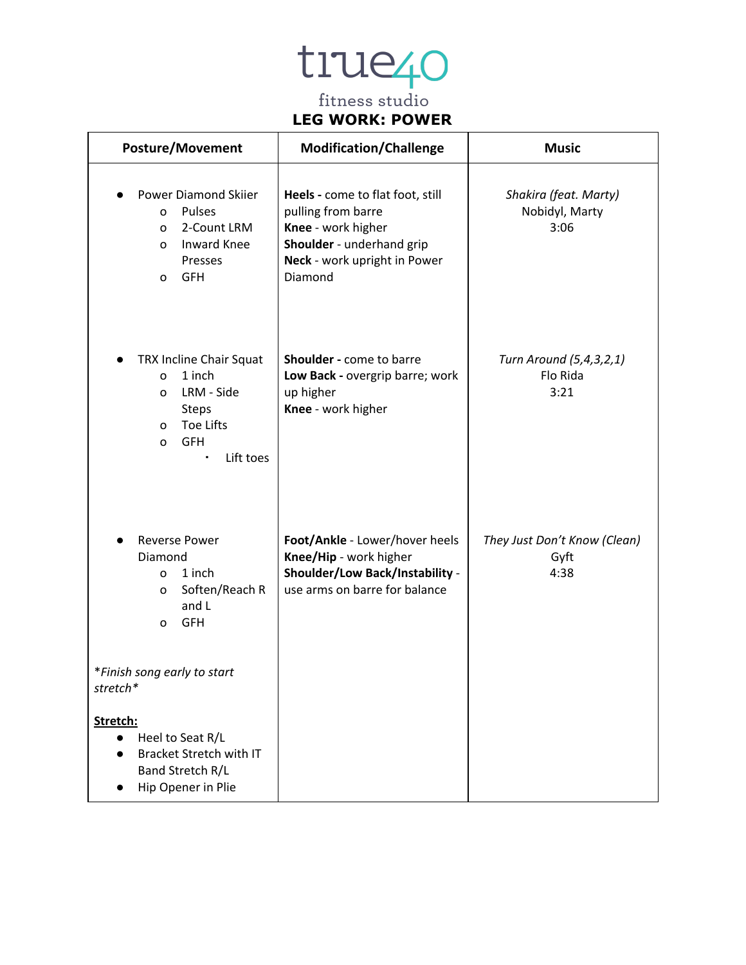#### **LEG WORK: POWER**

| <b>Posture/Movement</b>                                                                                                                              | <b>Modification/Challenge</b>                                                                                                                        | <b>Music</b>                                    |
|------------------------------------------------------------------------------------------------------------------------------------------------------|------------------------------------------------------------------------------------------------------------------------------------------------------|-------------------------------------------------|
| <b>Power Diamond Skiier</b><br>Pulses<br>0<br>2-Count LRM<br>0<br><b>Inward Knee</b><br>$\Omega$<br>Presses<br><b>GFH</b><br>0                       | Heels - come to flat foot, still<br>pulling from barre<br>Knee - work higher<br>Shoulder - underhand grip<br>Neck - work upright in Power<br>Diamond | Shakira (feat. Marty)<br>Nobidyl, Marty<br>3:06 |
| TRX Incline Chair Squat<br>1 inch<br>0<br>LRM - Side<br>0<br><b>Steps</b><br><b>Toe Lifts</b><br>0<br><b>GFH</b><br>0<br>Lift toes<br>$\blacksquare$ | Shoulder - come to barre<br>Low Back - overgrip barre; work<br>up higher<br>Knee - work higher                                                       | Turn Around (5,4,3,2,1)<br>Flo Rida<br>3:21     |
| <b>Reverse Power</b><br>Diamond<br>1 inch<br>0<br>Soften/Reach R<br>0<br>and L<br><b>GFH</b><br>0                                                    | Foot/Ankle - Lower/hover heels<br>Knee/Hip - work higher<br><b>Shoulder/Low Back/Instability -</b><br>use arms on barre for balance                  | They Just Don't Know (Clean)<br>Gyft<br>4:38    |
| *Finish song early to start<br>stretch*                                                                                                              |                                                                                                                                                      |                                                 |
| Stretch:<br>Heel to Seat R/L<br><b>Bracket Stretch with IT</b><br>Band Stretch R/L<br>Hip Opener in Plie                                             |                                                                                                                                                      |                                                 |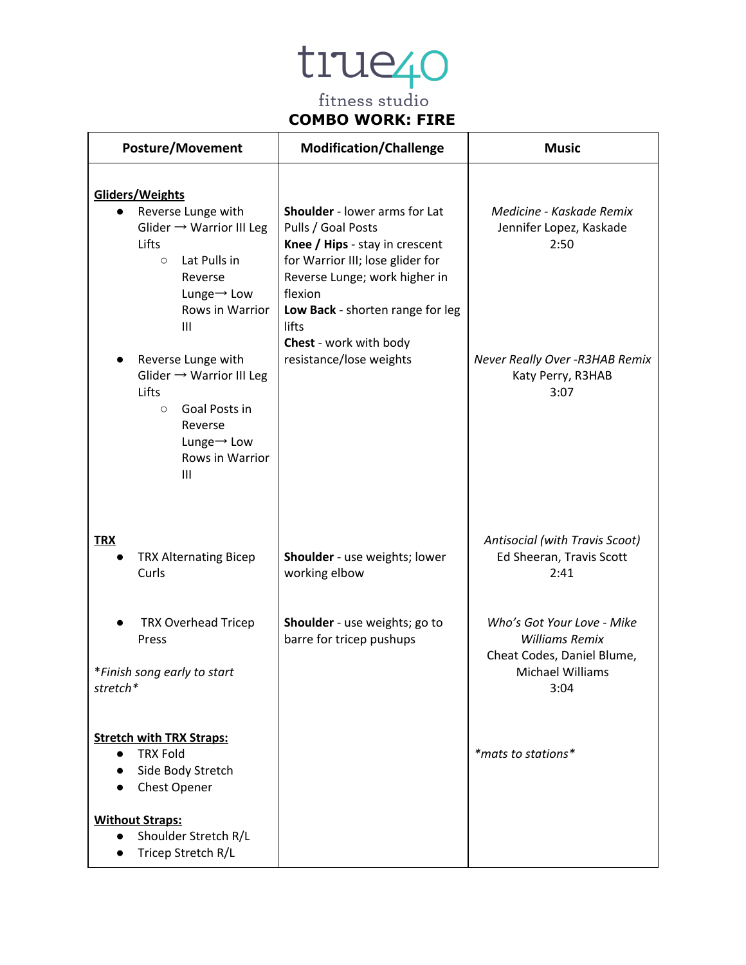### **COMBO WORK: FIRE**

| <b>Posture/Movement</b>                                                                                                                                                                                                                                                                                                                                                                 | <b>Modification/Challenge</b>                                                                                                                                                                                                                                           | <b>Music</b>                                                                                                                |
|-----------------------------------------------------------------------------------------------------------------------------------------------------------------------------------------------------------------------------------------------------------------------------------------------------------------------------------------------------------------------------------------|-------------------------------------------------------------------------------------------------------------------------------------------------------------------------------------------------------------------------------------------------------------------------|-----------------------------------------------------------------------------------------------------------------------------|
| Gliders/Weights<br>Reverse Lunge with<br>$\bullet$<br>Glider $\rightarrow$ Warrior III Leg<br>Lifts<br>Lat Pulls in<br>$\circ$<br>Reverse<br>Lunge $\rightarrow$ Low<br>Rows in Warrior<br>$\mathbf{III}$<br>Reverse Lunge with<br>Glider $\rightarrow$ Warrior III Leg<br>Lifts<br>Goal Posts in<br>$\circ$<br>Reverse<br>Lunge $\rightarrow$ Low<br>Rows in Warrior<br>$\mathbf{III}$ | Shoulder - lower arms for Lat<br>Pulls / Goal Posts<br>Knee / Hips - stay in crescent<br>for Warrior III; lose glider for<br>Reverse Lunge; work higher in<br>flexion<br>Low Back - shorten range for leg<br>lifts<br>Chest - work with body<br>resistance/lose weights | Medicine - Kaskade Remix<br>Jennifer Lopez, Kaskade<br>2:50<br>Never Really Over - R3HAB Remix<br>Katy Perry, R3HAB<br>3:07 |
| <b>TRX</b><br><b>TRX Alternating Bicep</b><br>Curls                                                                                                                                                                                                                                                                                                                                     | Shoulder - use weights; lower<br>working elbow                                                                                                                                                                                                                          | Antisocial (with Travis Scoot)<br>Ed Sheeran, Travis Scott<br>2:41                                                          |
| <b>TRX Overhead Tricep</b><br>Press<br>*Finish song early to start<br>stretch*                                                                                                                                                                                                                                                                                                          | Shoulder - use weights; go to<br>barre for tricep pushups                                                                                                                                                                                                               | Who's Got Your Love - Mike<br><b>Williams Remix</b><br>Cheat Codes, Daniel Blume,<br>Michael Williams<br>3:04               |
| <b>Stretch with TRX Straps:</b><br><b>TRX Fold</b><br>$\bullet$<br>Side Body Stretch<br>Chest Opener                                                                                                                                                                                                                                                                                    |                                                                                                                                                                                                                                                                         | *mats to stations*                                                                                                          |
| <b>Without Straps:</b><br>Shoulder Stretch R/L<br>$\bullet$<br>Tricep Stretch R/L                                                                                                                                                                                                                                                                                                       |                                                                                                                                                                                                                                                                         |                                                                                                                             |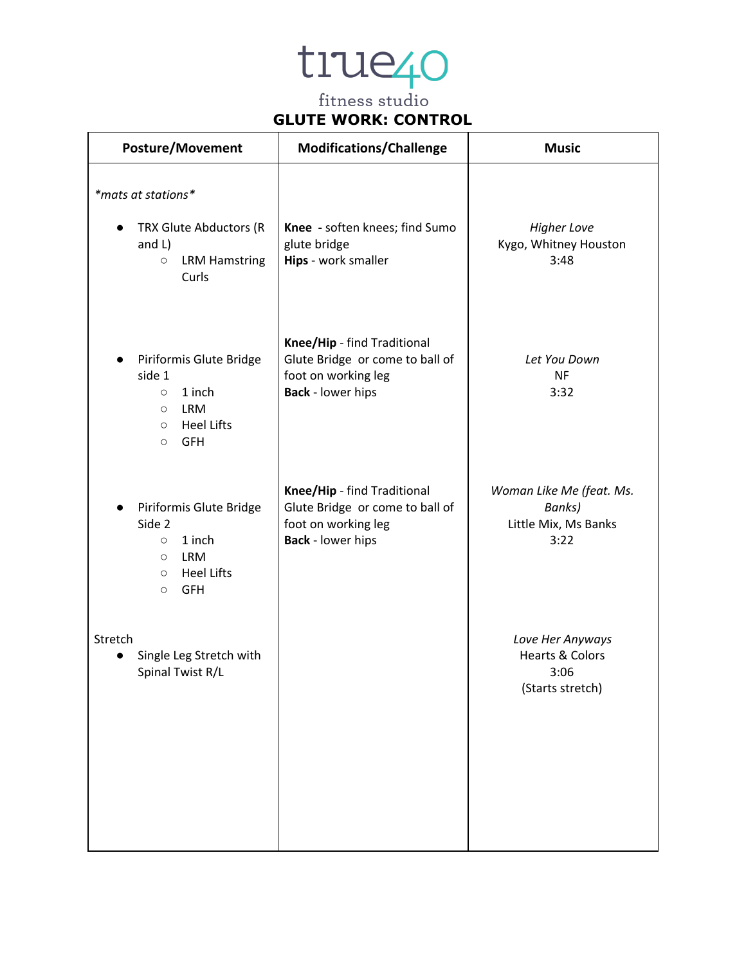### **GLUTE WORK: CONTROL**

| <b>Posture/Movement</b>                                                                                                                              | <b>Modifications/Challenge</b>                                                                                    | <b>Music</b>                                                               |
|------------------------------------------------------------------------------------------------------------------------------------------------------|-------------------------------------------------------------------------------------------------------------------|----------------------------------------------------------------------------|
| *mats at stations*<br>TRX Glute Abductors (R<br>and $L$ )<br><b>LRM Hamstring</b><br>$\bigcirc$<br>Curls                                             | Knee - soften knees; find Sumo<br>glute bridge<br>Hips - work smaller                                             | <b>Higher Love</b><br>Kygo, Whitney Houston<br>3:48                        |
| Piriformis Glute Bridge<br>side 1<br>1 inch<br>$\circ$<br><b>LRM</b><br>$\circlearrowright$<br><b>Heel Lifts</b><br>$\circ$<br><b>GFH</b><br>$\circ$ | Knee/Hip - find Traditional<br>Glute Bridge or come to ball of<br>foot on working leg<br><b>Back</b> - lower hips | Let You Down<br><b>NF</b><br>3:32                                          |
| Piriformis Glute Bridge<br>Side 2<br>1 inch<br>$\circ$<br><b>LRM</b><br>$\circ$<br><b>Heel Lifts</b><br>$\circ$<br><b>GFH</b><br>$\circ$             | Knee/Hip - find Traditional<br>Glute Bridge or come to ball of<br>foot on working leg<br><b>Back</b> - lower hips | Woman Like Me (feat. Ms.<br>Banks)<br>Little Mix, Ms Banks<br>3:22         |
| Stretch<br>Single Leg Stretch with<br>Spinal Twist R/L                                                                                               |                                                                                                                   | Love Her Anyways<br><b>Hearts &amp; Colors</b><br>3:06<br>(Starts stretch) |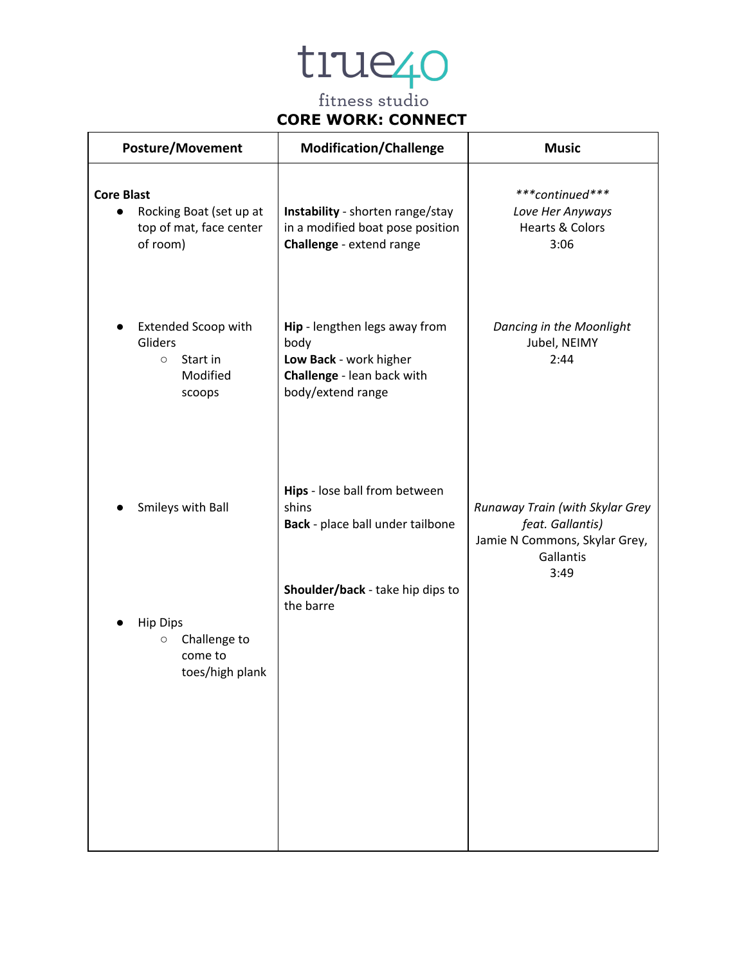### **CORE WORK: CONNECT**

| <b>Posture/Movement</b>                                                                          | <b>Modification/Challenge</b>                                                                                      | <b>Music</b>                                                                                              |
|--------------------------------------------------------------------------------------------------|--------------------------------------------------------------------------------------------------------------------|-----------------------------------------------------------------------------------------------------------|
| <b>Core Blast</b><br>Rocking Boat (set up at<br>$\bullet$<br>top of mat, face center<br>of room) | Instability - shorten range/stay<br>in a modified boat pose position<br>Challenge - extend range                   | ***continued***<br>Love Her Anyways<br><b>Hearts &amp; Colors</b><br>3:06                                 |
| <b>Extended Scoop with</b><br>Gliders<br>Start in<br>$\circ$<br>Modified<br>scoops               | Hip - lengthen legs away from<br>body<br>Low Back - work higher<br>Challenge - lean back with<br>body/extend range | Dancing in the Moonlight<br>Jubel, NEIMY<br>2:44                                                          |
| Smileys with Ball                                                                                | Hips - lose ball from between<br>shins<br>Back - place ball under tailbone                                         | Runaway Train (with Skylar Grey<br>feat. Gallantis)<br>Jamie N Commons, Skylar Grey,<br>Gallantis<br>3:49 |
| <b>Hip Dips</b><br>Challenge to<br>$\circ$<br>come to<br>toes/high plank                         | Shoulder/back - take hip dips to<br>the barre                                                                      |                                                                                                           |